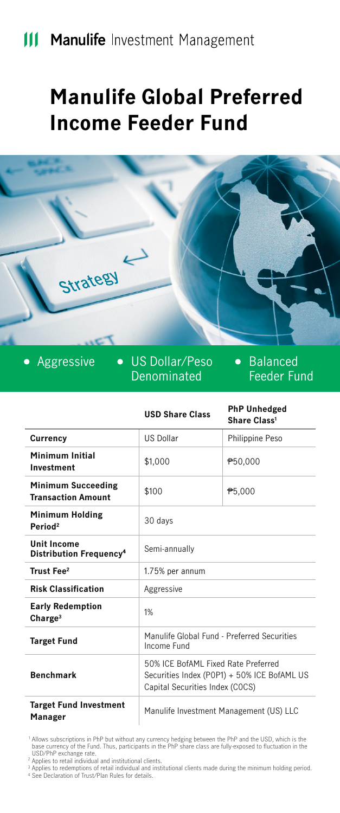# **Manulife Global Preferred Income Feeder Fund**



Denominated

**•** Balanced Feeder Fund

|                                                           | <b>USD Share Class</b>                                                                                                | <b>PhP Unhedged</b><br>Share Class <sup>1</sup> |
|-----------------------------------------------------------|-----------------------------------------------------------------------------------------------------------------------|-------------------------------------------------|
| Currency                                                  | <b>US Dollar</b>                                                                                                      | Philippine Peso                                 |
| Minimum Initial<br>Investment                             | \$1.000                                                                                                               | P50,000                                         |
| <b>Minimum Succeeding</b><br><b>Transaction Amount</b>    | \$100                                                                                                                 | <b>P5,000</b>                                   |
| <b>Minimum Holding</b><br>Period <sup>2</sup>             | 30 days                                                                                                               |                                                 |
| <b>Unit Income</b><br>Distribution Frequency <sup>4</sup> | Semi-annually                                                                                                         |                                                 |
| Trust Fee <sup>2</sup>                                    | 1.75% per annum                                                                                                       |                                                 |
| <b>Risk Classification</b>                                | Aggressive                                                                                                            |                                                 |
| <b>Early Redemption</b><br>Change <sup>3</sup>            | 1%                                                                                                                    |                                                 |
| <b>Target Fund</b>                                        | Manulife Global Fund - Preferred Securities<br>Income Fund                                                            |                                                 |
| <b>Benchmark</b>                                          | 50% ICE BofAML Fixed Rate Preferred<br>Securities Index (P0P1) + 50% ICE BofAML US<br>Capital Securities Index (COCS) |                                                 |
| <b>Target Fund Investment</b><br>Manager                  | Manulife Investment Management (US) LLC                                                                               |                                                 |

Allows subscriptions in PhP but without any currency hedging between the PhP and the USD, which is the<br>USD/PhP exchange rate.<br>USD/PhP exchange rate.<br>Applies to redentitional and institutional clients.<br>Applies to redentitio

2 3 4